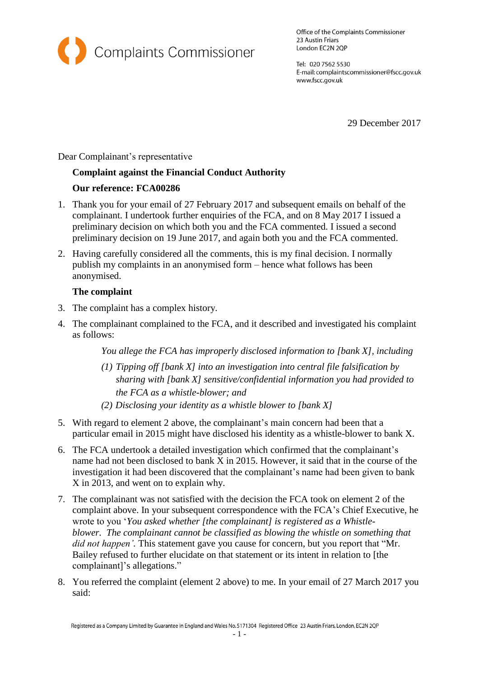

Office of the Complaints Commissioner 23 Austin Friars London EC2N 2QP

Tel: 020 7562 5530 E-mail: complaintscommissioner@fscc.gov.uk www.fscc.gov.uk

29 December 2017

Dear Complainant's representative

# **Complaint against the Financial Conduct Authority**

# **Our reference: FCA00286**

- 1. Thank you for your email of 27 February 2017 and subsequent emails on behalf of the complainant. I undertook further enquiries of the FCA, and on 8 May 2017 I issued a preliminary decision on which both you and the FCA commented. I issued a second preliminary decision on 19 June 2017, and again both you and the FCA commented.
- 2. Having carefully considered all the comments, this is my final decision. I normally publish my complaints in an anonymised form – hence what follows has been anonymised.

# **The complaint**

- 3. The complaint has a complex history.
- 4. The complainant complained to the FCA, and it described and investigated his complaint as follows:

*You allege the FCA has improperly disclosed information to [bank X], including*

- *(1) Tipping off [bank X] into an investigation into central file falsification by sharing with [bank X] sensitive/confidential information you had provided to the FCA as a whistle-blower; and*
- *(2) Disclosing your identity as a whistle blower to [bank X]*
- 5. With regard to element 2 above, the complainant's main concern had been that a particular email in 2015 might have disclosed his identity as a whistle-blower to bank X.
- 6. The FCA undertook a detailed investigation which confirmed that the complainant's name had not been disclosed to bank X in 2015. However, it said that in the course of the investigation it had been discovered that the complainant's name had been given to bank X in 2013, and went on to explain why.
- 7. The complainant was not satisfied with the decision the FCA took on element 2 of the complaint above. In your subsequent correspondence with the FCA's Chief Executive, he wrote to you '*You asked whether [the complainant] is registered as a Whistleblower. The complainant cannot be classified as blowing the whistle on something that did not happen'.* This statement gave you cause for concern, but you report that "Mr. Bailey refused to further elucidate on that statement or its intent in relation to [the complainant]'s allegations."
- 8. You referred the complaint (element 2 above) to me. In your email of 27 March 2017 you said: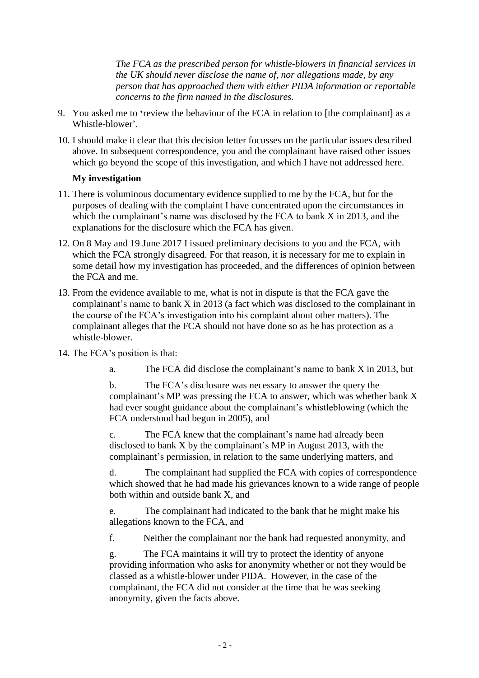*The FCA as the prescribed person for whistle-blowers in financial services in the UK should never disclose the name of, nor allegations made, by any person that has approached them with either PIDA information or reportable concerns to the firm named in the disclosures.*

- 9. You asked me to **'**review the behaviour of the FCA in relation to [the complainant] as a Whistle-blower'.
- 10. I should make it clear that this decision letter focusses on the particular issues described above. In subsequent correspondence, you and the complainant have raised other issues which go beyond the scope of this investigation, and which I have not addressed here.

# **My investigation**

- 11. There is voluminous documentary evidence supplied to me by the FCA, but for the purposes of dealing with the complaint I have concentrated upon the circumstances in which the complainant's name was disclosed by the FCA to bank X in 2013, and the explanations for the disclosure which the FCA has given.
- 12. On 8 May and 19 June 2017 I issued preliminary decisions to you and the FCA, with which the FCA strongly disagreed. For that reason, it is necessary for me to explain in some detail how my investigation has proceeded, and the differences of opinion between the FCA and me.
- 13. From the evidence available to me, what is not in dispute is that the FCA gave the complainant's name to bank X in 2013 (a fact which was disclosed to the complainant in the course of the FCA's investigation into his complaint about other matters). The complainant alleges that the FCA should not have done so as he has protection as a whistle-blower.
- 14. The FCA's position is that:
	- a. The FCA did disclose the complainant's name to bank X in 2013, but

b. The FCA's disclosure was necessary to answer the query the complainant's MP was pressing the FCA to answer, which was whether bank X had ever sought guidance about the complainant's whistleblowing (which the FCA understood had begun in 2005), and

c. The FCA knew that the complainant's name had already been disclosed to bank X by the complainant's MP in August 2013, with the complainant's permission, in relation to the same underlying matters, and

d. The complainant had supplied the FCA with copies of correspondence which showed that he had made his grievances known to a wide range of people both within and outside bank X, and

e. The complainant had indicated to the bank that he might make his allegations known to the FCA, and

f. Neither the complainant nor the bank had requested anonymity, and

g. The FCA maintains it will try to protect the identity of anyone providing information who asks for anonymity whether or not they would be classed as a whistle-blower under PIDA. However, in the case of the complainant, the FCA did not consider at the time that he was seeking anonymity, given the facts above.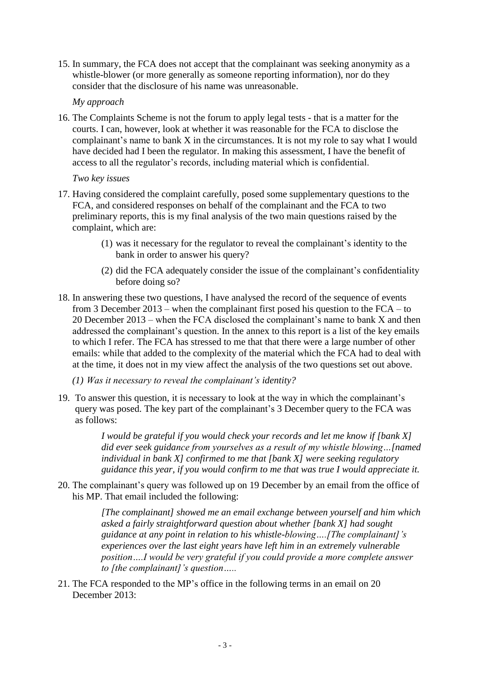15. In summary, the FCA does not accept that the complainant was seeking anonymity as a whistle-blower (or more generally as someone reporting information), nor do they consider that the disclosure of his name was unreasonable.

#### *My approach*

16. The Complaints Scheme is not the forum to apply legal tests - that is a matter for the courts. I can, however, look at whether it was reasonable for the FCA to disclose the complainant's name to bank X in the circumstances. It is not my role to say what I would have decided had I been the regulator. In making this assessment, I have the benefit of access to all the regulator's records, including material which is confidential.

#### *Two key issues*

- 17. Having considered the complaint carefully, posed some supplementary questions to the FCA, and considered responses on behalf of the complainant and the FCA to two preliminary reports, this is my final analysis of the two main questions raised by the complaint, which are:
	- (1) was it necessary for the regulator to reveal the complainant's identity to the bank in order to answer his query?
	- (2) did the FCA adequately consider the issue of the complainant's confidentiality before doing so?
- 18. In answering these two questions, I have analysed the record of the sequence of events from 3 December 2013 – when the complainant first posed his question to the FCA – to 20 December 2013 – when the FCA disclosed the complainant's name to bank X and then addressed the complainant's question. In the annex to this report is a list of the key emails to which I refer. The FCA has stressed to me that that there were a large number of other emails: while that added to the complexity of the material which the FCA had to deal with at the time, it does not in my view affect the analysis of the two questions set out above.
	- *(1) Was it necessary to reveal the complainant's identity?*
- 19. To answer this question, it is necessary to look at the way in which the complainant's query was posed. The key part of the complainant's 3 December query to the FCA was as follows:

*I would be grateful if you would check your records and let me know if [bank X] did ever seek guidance from yourselves as a result of my whistle blowing…[named individual in bank X] confirmed to me that [bank X] were seeking regulatory guidance this year, if you would confirm to me that was true I would appreciate it.*

20. The complainant's query was followed up on 19 December by an email from the office of his MP. That email included the following:

> *[The complainant] showed me an email exchange between yourself and him which asked a fairly straightforward question about whether [bank X] had sought guidance at any point in relation to his whistle-blowing….[The complainant]'s experiences over the last eight years have left him in an extremely vulnerable position….I would be very grateful if you could provide a more complete answer to [the complainant]'s question…..*

21. The FCA responded to the MP's office in the following terms in an email on 20 December 2013: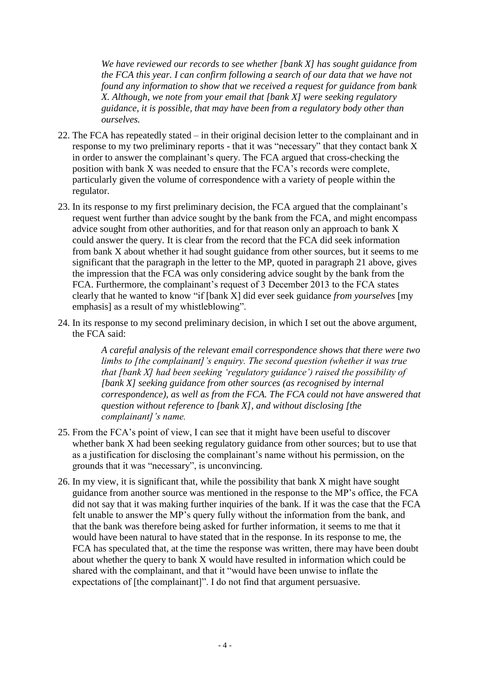*We have reviewed our records to see whether [bank X] has sought guidance from the FCA this year. I can confirm following a search of our data that we have not found any information to show that we received a request for guidance from bank X. Although, we note from your email that [bank X] were seeking regulatory guidance, it is possible, that may have been from a regulatory body other than ourselves.*

- 22. The FCA has repeatedly stated in their original decision letter to the complainant and in response to my two preliminary reports - that it was "necessary" that they contact bank X in order to answer the complainant's query. The FCA argued that cross-checking the position with bank X was needed to ensure that the FCA's records were complete, particularly given the volume of correspondence with a variety of people within the regulator.
- 23. In its response to my first preliminary decision, the FCA argued that the complainant's request went further than advice sought by the bank from the FCA, and might encompass advice sought from other authorities, and for that reason only an approach to bank X could answer the query. It is clear from the record that the FCA did seek information from bank X about whether it had sought guidance from other sources, but it seems to me significant that the paragraph in the letter to the MP, quoted in paragraph 21 above, gives the impression that the FCA was only considering advice sought by the bank from the FCA. Furthermore, the complainant's request of 3 December 2013 to the FCA states clearly that he wanted to know "if [bank X] did ever seek guidance *from yourselves* [my emphasis] as a result of my whistleblowing".
- 24. In its response to my second preliminary decision, in which I set out the above argument, the FCA said:

*A careful analysis of the relevant email correspondence shows that there were two limbs to [the complainant]'s enquiry. The second question (whether it was true that [bank X] had been seeking 'regulatory guidance') raised the possibility of [bank X] seeking guidance from other sources (as recognised by internal correspondence), as well as from the FCA. The FCA could not have answered that question without reference to [bank X], and without disclosing [the complainant]'s name.*

- 25. From the FCA's point of view, I can see that it might have been useful to discover whether bank X had been seeking regulatory guidance from other sources; but to use that as a justification for disclosing the complainant's name without his permission, on the grounds that it was "necessary", is unconvincing.
- 26. In my view, it is significant that, while the possibility that bank X might have sought guidance from another source was mentioned in the response to the MP's office, the FCA did not say that it was making further inquiries of the bank. If it was the case that the FCA felt unable to answer the MP's query fully without the information from the bank, and that the bank was therefore being asked for further information, it seems to me that it would have been natural to have stated that in the response. In its response to me, the FCA has speculated that, at the time the response was written, there may have been doubt about whether the query to bank X would have resulted in information which could be shared with the complainant, and that it "would have been unwise to inflate the expectations of [the complainant]". I do not find that argument persuasive.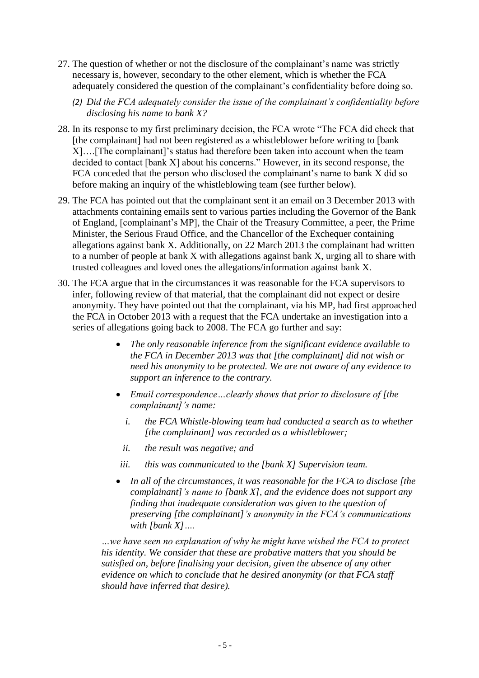- 27. The question of whether or not the disclosure of the complainant's name was strictly necessary is, however, secondary to the other element, which is whether the FCA adequately considered the question of the complainant's confidentiality before doing so.
	- *(2) Did the FCA adequately consider the issue of the complainant's confidentiality before disclosing his name to bank X?*
- 28. In its response to my first preliminary decision, the FCA wrote "The FCA did check that [the complainant] had not been registered as a whistleblower before writing to [bank X]….[The complainant]'s status had therefore been taken into account when the team decided to contact [bank X] about his concerns." However, in its second response, the FCA conceded that the person who disclosed the complainant's name to bank X did so before making an inquiry of the whistleblowing team (see further below).
- 29. The FCA has pointed out that the complainant sent it an email on 3 December 2013 with attachments containing emails sent to various parties including the Governor of the Bank of England, [complainant's MP], the Chair of the Treasury Committee, a peer, the Prime Minister, the Serious Fraud Office, and the Chancellor of the Exchequer containing allegations against bank X. Additionally, on 22 March 2013 the complainant had written to a number of people at bank X with allegations against bank X, urging all to share with trusted colleagues and loved ones the allegations/information against bank X.
- 30. The FCA argue that in the circumstances it was reasonable for the FCA supervisors to infer, following review of that material, that the complainant did not expect or desire anonymity. They have pointed out that the complainant, via his MP, had first approached the FCA in October 2013 with a request that the FCA undertake an investigation into a series of allegations going back to 2008. The FCA go further and say:
	- *The only reasonable inference from the significant evidence available to the FCA in December 2013 was that [the complainant] did not wish or need his anonymity to be protected. We are not aware of any evidence to support an inference to the contrary.*
	- *Email correspondence…clearly shows that prior to disclosure of [the complainant]'s name:* 
		- *i. the FCA Whistle-blowing team had conducted a search as to whether [the complainant] was recorded as a whistleblower;*
		- *ii. the result was negative; and*
	- *iii. this was communicated to the [bank X] Supervision team.*
	- *In all of the circumstances, it was reasonable for the FCA to disclose [the complainant]'s name to [bank X], and the evidence does not support any finding that inadequate consideration was given to the question of preserving [the complainant]'s anonymity in the FCA's communications with [bank X]….*

*…we have seen no explanation of why he might have wished the FCA to protect his identity. We consider that these are probative matters that you should be satisfied on, before finalising your decision, given the absence of any other evidence on which to conclude that he desired anonymity (or that FCA staff should have inferred that desire).*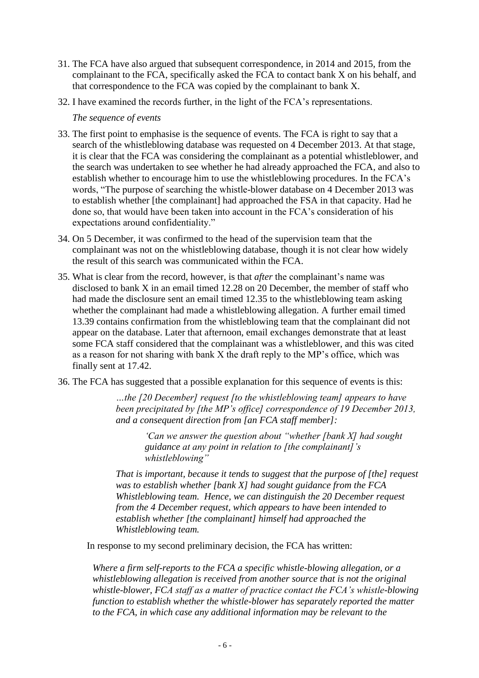- 31. The FCA have also argued that subsequent correspondence, in 2014 and 2015, from the complainant to the FCA, specifically asked the FCA to contact bank X on his behalf, and that correspondence to the FCA was copied by the complainant to bank X.
- 32. I have examined the records further, in the light of the FCA's representations.

### *The sequence of events*

- 33. The first point to emphasise is the sequence of events. The FCA is right to say that a search of the whistleblowing database was requested on 4 December 2013. At that stage, it is clear that the FCA was considering the complainant as a potential whistleblower, and the search was undertaken to see whether he had already approached the FCA, and also to establish whether to encourage him to use the whistleblowing procedures. In the FCA's words, "The purpose of searching the whistle-blower database on 4 December 2013 was to establish whether [the complainant] had approached the FSA in that capacity. Had he done so, that would have been taken into account in the FCA's consideration of his expectations around confidentiality."
- 34. On 5 December, it was confirmed to the head of the supervision team that the complainant was not on the whistleblowing database, though it is not clear how widely the result of this search was communicated within the FCA.
- 35. What is clear from the record, however, is that *after* the complainant's name was disclosed to bank X in an email timed 12.28 on 20 December, the member of staff who had made the disclosure sent an email timed 12.35 to the whistleblowing team asking whether the complainant had made a whistleblowing allegation. A further email timed 13.39 contains confirmation from the whistleblowing team that the complainant did not appear on the database. Later that afternoon, email exchanges demonstrate that at least some FCA staff considered that the complainant was a whistleblower, and this was cited as a reason for not sharing with bank X the draft reply to the MP's office, which was finally sent at 17.42.
- 36. The FCA has suggested that a possible explanation for this sequence of events is this:

*…the [20 December] request [to the whistleblowing team] appears to have been precipitated by [the MP's office] correspondence of 19 December 2013, and a consequent direction from [an FCA staff member]:*

*'Can we answer the question about "whether [bank X] had sought guidance at any point in relation to [the complainant]'s whistleblowing"*

*That is important, because it tends to suggest that the purpose of [the] request was to establish whether [bank X] had sought guidance from the FCA Whistleblowing team. Hence, we can distinguish the 20 December request from the 4 December request, which appears to have been intended to establish whether [the complainant] himself had approached the Whistleblowing team.*

In response to my second preliminary decision, the FCA has written:

*Where a firm self-reports to the FCA a specific whistle-blowing allegation, or a whistleblowing allegation is received from another source that is not the original whistle-blower, FCA staff as a matter of practice contact the FCA's whistle-blowing function to establish whether the whistle-blower has separately reported the matter to the FCA, in which case any additional information may be relevant to the*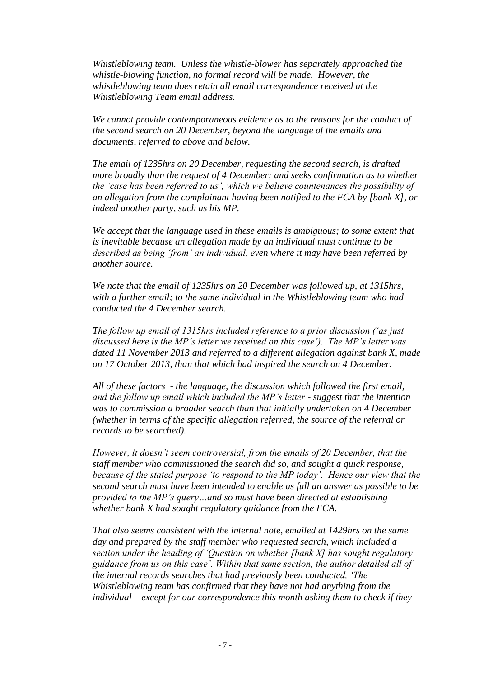*Whistleblowing team. Unless the whistle-blower has separately approached the whistle-blowing function, no formal record will be made. However, the whistleblowing team does retain all email correspondence received at the Whistleblowing Team email address.* 

*We cannot provide contemporaneous evidence as to the reasons for the conduct of the second search on 20 December, beyond the language of the emails and documents, referred to above and below.* 

*The email of 1235hrs on 20 December, requesting the second search, is drafted more broadly than the request of 4 December; and seeks confirmation as to whether the 'case has been referred to us', which we believe countenances the possibility of an allegation from the complainant having been notified to the FCA by [bank X], or indeed another party, such as his MP.*

*We accept that the language used in these emails is ambiguous; to some extent that is inevitable because an allegation made by an individual must continue to be described as being 'from' an individual, even where it may have been referred by another source.* 

*We note that the email of 1235hrs on 20 December was followed up, at 1315hrs, with a further email; to the same individual in the Whistleblowing team who had conducted the 4 December search.* 

*The follow up email of 1315hrs included reference to a prior discussion ('as just discussed here is the MP's letter we received on this case'). The MP's letter was dated 11 November 2013 and referred to a different allegation against bank X, made on 17 October 2013, than that which had inspired the search on 4 December.* 

*All of these factors - the language, the discussion which followed the first email, and the follow up email which included the MP's letter - suggest that the intention was to commission a broader search than that initially undertaken on 4 December (whether in terms of the specific allegation referred, the source of the referral or records to be searched).*

*However, it doesn't seem controversial, from the emails of 20 December, that the staff member who commissioned the search did so, and sought a quick response, because of the stated purpose 'to respond to the MP today'. Hence our view that the second search must have been intended to enable as full an answer as possible to be provided to the MP's query…and so must have been directed at establishing whether bank X had sought regulatory guidance from the FCA.* 

*That also seems consistent with the internal note, emailed at 1429hrs on the same day and prepared by the staff member who requested search, which included a section under the heading of 'Question on whether [bank X] has sought regulatory guidance from us on this case'. Within that same section, the author detailed all of the internal records searches that had previously been conducted, 'The Whistleblowing team has confirmed that they have not had anything from the individual – except for our correspondence this month asking them to check if they*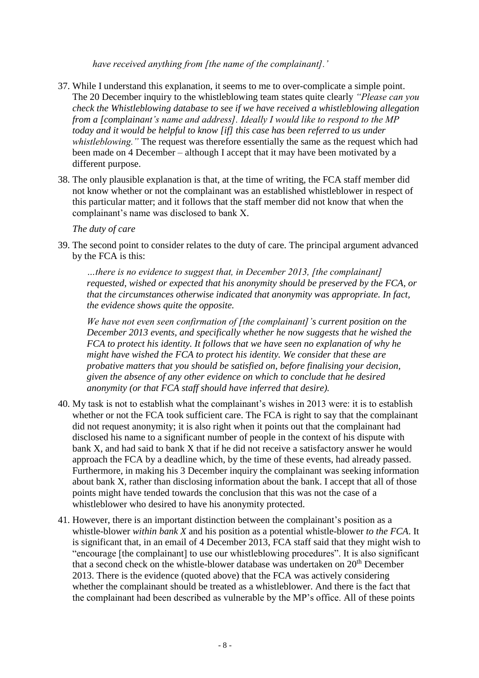*have received anything from [the name of the complainant].'*

- 37. While I understand this explanation, it seems to me to over-complicate a simple point. The 20 December inquiry to the whistleblowing team states quite clearly *"Please can you check the Whistleblowing database to see if we have received a whistleblowing allegation from a [complainant's name and address]. Ideally I would like to respond to the MP today and it would be helpful to know [if] this case has been referred to us under whistleblowing."* The request was therefore essentially the same as the request which had been made on 4 December – although I accept that it may have been motivated by a different purpose.
- 38. The only plausible explanation is that, at the time of writing, the FCA staff member did not know whether or not the complainant was an established whistleblower in respect of this particular matter; and it follows that the staff member did not know that when the complainant's name was disclosed to bank X.

# *The duty of care*

39. The second point to consider relates to the duty of care. The principal argument advanced by the FCA is this:

*…there is no evidence to suggest that, in December 2013, [the complainant] requested, wished or expected that his anonymity should be preserved by the FCA, or that the circumstances otherwise indicated that anonymity was appropriate. In fact, the evidence shows quite the opposite.* 

*We have not even seen confirmation of [the complainant]'s current position on the December 2013 events, and specifically whether he now suggests that he wished the FCA to protect his identity. It follows that we have seen no explanation of why he might have wished the FCA to protect his identity. We consider that these are probative matters that you should be satisfied on, before finalising your decision, given the absence of any other evidence on which to conclude that he desired anonymity (or that FCA staff should have inferred that desire).* 

- 40. My task is not to establish what the complainant's wishes in 2013 were: it is to establish whether or not the FCA took sufficient care. The FCA is right to say that the complainant did not request anonymity; it is also right when it points out that the complainant had disclosed his name to a significant number of people in the context of his dispute with bank X, and had said to bank X that if he did not receive a satisfactory answer he would approach the FCA by a deadline which, by the time of these events, had already passed. Furthermore, in making his 3 December inquiry the complainant was seeking information about bank X, rather than disclosing information about the bank. I accept that all of those points might have tended towards the conclusion that this was not the case of a whistleblower who desired to have his anonymity protected.
- 41. However, there is an important distinction between the complainant's position as a whistle-blower *within bank X* and his position as a potential whistle-blower *to the FCA*. It is significant that, in an email of 4 December 2013, FCA staff said that they might wish to "encourage [the complainant] to use our whistleblowing procedures". It is also significant that a second check on the whistle-blower database was undertaken on  $20<sup>th</sup>$  December 2013. There is the evidence (quoted above) that the FCA was actively considering whether the complainant should be treated as a whistleblower. And there is the fact that the complainant had been described as vulnerable by the MP's office. All of these points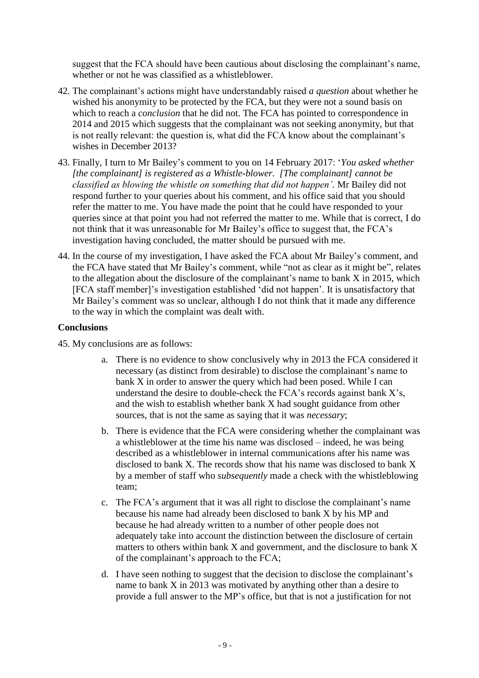suggest that the FCA should have been cautious about disclosing the complainant's name, whether or not he was classified as a whistleblower.

- 42. The complainant's actions might have understandably raised *a question* about whether he wished his anonymity to be protected by the FCA, but they were not a sound basis on which to reach a *conclusion* that he did not. The FCA has pointed to correspondence in 2014 and 2015 which suggests that the complainant was not seeking anonymity, but that is not really relevant: the question is, what did the FCA know about the complainant's wishes in December 2013?
- 43. Finally, I turn to Mr Bailey's comment to you on 14 February 2017: '*You asked whether [the complainant] is registered as a Whistle-blower. [The complainant] cannot be classified as blowing the whistle on something that did not happen'.* Mr Bailey did not respond further to your queries about his comment, and his office said that you should refer the matter to me. You have made the point that he could have responded to your queries since at that point you had not referred the matter to me. While that is correct, I do not think that it was unreasonable for Mr Bailey's office to suggest that, the FCA's investigation having concluded, the matter should be pursued with me.
- 44. In the course of my investigation, I have asked the FCA about Mr Bailey's comment, and the FCA have stated that Mr Bailey's comment, while "not as clear as it might be", relates to the allegation about the disclosure of the complainant's name to bank X in 2015, which [FCA staff member]'s investigation established 'did not happen'. It is unsatisfactory that Mr Bailey's comment was so unclear, although I do not think that it made any difference to the way in which the complaint was dealt with.

# **Conclusions**

- 45. My conclusions are as follows:
	- a. There is no evidence to show conclusively why in 2013 the FCA considered it necessary (as distinct from desirable) to disclose the complainant's name to bank X in order to answer the query which had been posed. While I can understand the desire to double-check the FCA's records against bank X's, and the wish to establish whether bank X had sought guidance from other sources, that is not the same as saying that it was *necessary*;
	- b. There is evidence that the FCA were considering whether the complainant was a whistleblower at the time his name was disclosed – indeed, he was being described as a whistleblower in internal communications after his name was disclosed to bank X. The records show that his name was disclosed to bank X by a member of staff who *subsequently* made a check with the whistleblowing team;
	- c. The FCA's argument that it was all right to disclose the complainant's name because his name had already been disclosed to bank X by his MP and because he had already written to a number of other people does not adequately take into account the distinction between the disclosure of certain matters to others within bank X and government, and the disclosure to bank X of the complainant's approach to the FCA;
	- d. I have seen nothing to suggest that the decision to disclose the complainant's name to bank X in 2013 was motivated by anything other than a desire to provide a full answer to the MP's office, but that is not a justification for not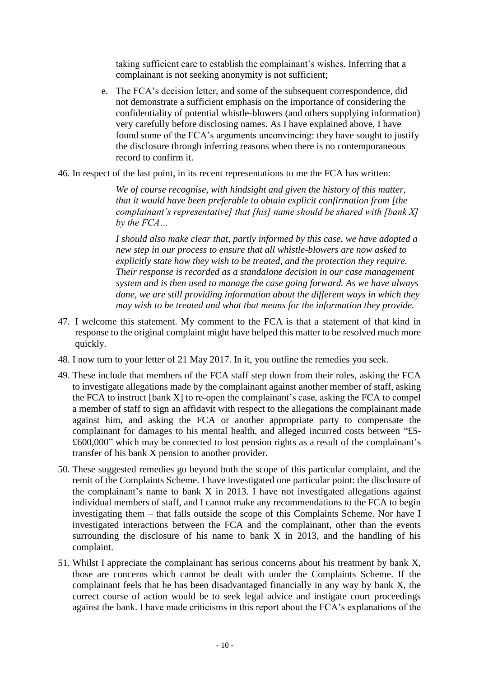taking sufficient care to establish the complainant's wishes. Inferring that a complainant is not seeking anonymity is not sufficient;

e. The FCA's decision letter, and some of the subsequent correspondence, did not demonstrate a sufficient emphasis on the importance of considering the confidentiality of potential whistle-blowers (and others supplying information) very carefully before disclosing names. As I have explained above, I have found some of the FCA's arguments unconvincing: they have sought to justify the disclosure through inferring reasons when there is no contemporaneous record to confirm it.

46. In respect of the last point, in its recent representations to me the FCA has written:

*We of course recognise, with hindsight and given the history of this matter, that it would have been preferable to obtain explicit confirmation from [the complainant's representative] that [his] name should be shared with [bank X] by the FCA…*

*I should also make clear that, partly informed by this case, we have adopted a new step in our process to ensure that all whistle-blowers are now asked to explicitly state how they wish to be treated, and the protection they require. Their response is recorded as a standalone decision in our case management system and is then used to manage the case going forward. As we have always done, we are still providing information about the different ways in which they may wish to be treated and what that means for the information they provide.*

- 47. I welcome this statement. My comment to the FCA is that a statement of that kind in response to the original complaint might have helped this matter to be resolved much more quickly.
- 48. I now turn to your letter of 21 May 2017. In it, you outline the remedies you seek.
- 49. These include that members of the FCA staff step down from their roles, asking the FCA to investigate allegations made by the complainant against another member of staff, asking the FCA to instruct [bank X] to re-open the complainant's case, asking the FCA to compel a member of staff to sign an affidavit with respect to the allegations the complainant made against him, and asking the FCA or another appropriate party to compensate the complainant for damages to his mental health, and alleged incurred costs between "£5- £600,000" which may be connected to lost pension rights as a result of the complainant's transfer of his bank X pension to another provider.
- 50. These suggested remedies go beyond both the scope of this particular complaint, and the remit of the Complaints Scheme. I have investigated one particular point: the disclosure of the complainant's name to bank X in 2013. I have not investigated allegations against individual members of staff, and I cannot make any recommendations to the FCA to begin investigating them – that falls outside the scope of this Complaints Scheme. Nor have I investigated interactions between the FCA and the complainant, other than the events surrounding the disclosure of his name to bank X in 2013, and the handling of his complaint.
- 51. Whilst I appreciate the complainant has serious concerns about his treatment by bank X, those are concerns which cannot be dealt with under the Complaints Scheme. If the complainant feels that he has been disadvantaged financially in any way by bank X, the correct course of action would be to seek legal advice and instigate court proceedings against the bank. I have made criticisms in this report about the FCA's explanations of the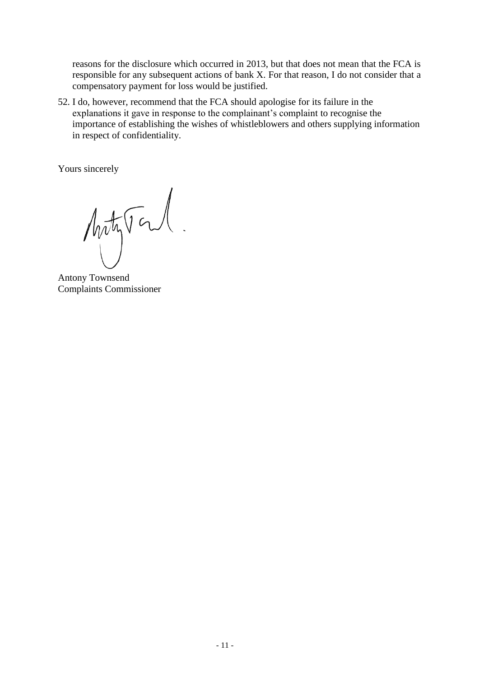reasons for the disclosure which occurred in 2013, but that does not mean that the FCA is responsible for any subsequent actions of bank X. For that reason, I do not consider that a compensatory payment for loss would be justified.

52. I do, however, recommend that the FCA should apologise for its failure in the explanations it gave in response to the complainant's complaint to recognise the importance of establishing the wishes of whistleblowers and others supplying information in respect of confidentiality.

Yours sincerely

Artyral.

Antony Townsend Complaints Commissioner